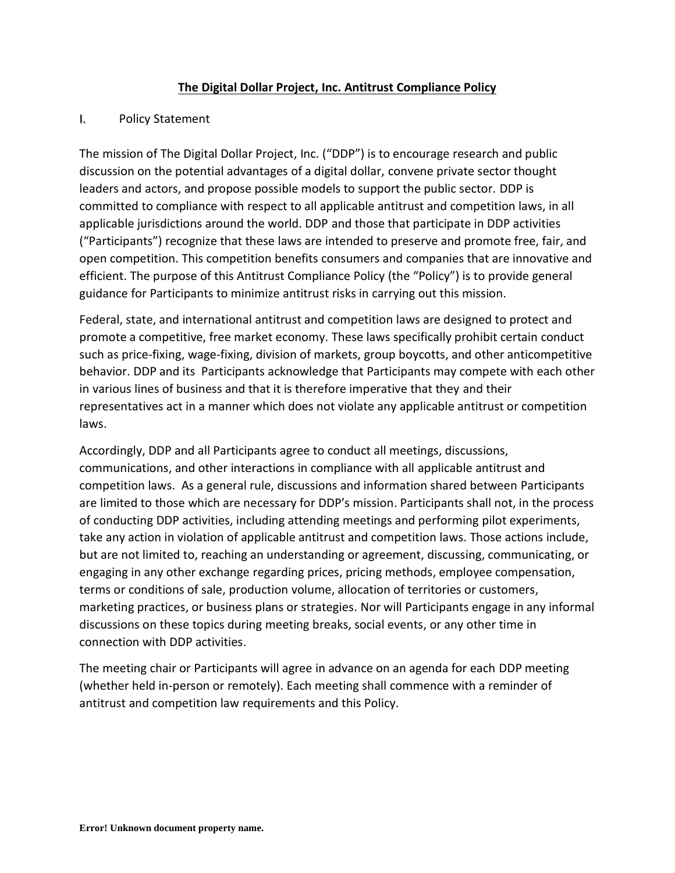## **The Digital Dollar Project, Inc. Antitrust Compliance Policy**

## I. Policy Statement

The mission of The Digital Dollar Project, Inc. ("DDP") is to encourage research and public discussion on the potential advantages of a digital dollar, convene private sector thought leaders and actors, and propose possible models to support the public sector. DDP is committed to compliance with respect to all applicable antitrust and competition laws, in all applicable jurisdictions around the world. DDP and those that participate in DDP activities ("Participants") recognize that these laws are intended to preserve and promote free, fair, and open competition. This competition benefits consumers and companies that are innovative and efficient. The purpose of this Antitrust Compliance Policy (the "Policy") is to provide general guidance for Participants to minimize antitrust risks in carrying out this mission.

Federal, state, and international antitrust and competition laws are designed to protect and promote a competitive, free market economy. These laws specifically prohibit certain conduct such as price-fixing, wage-fixing, division of markets, group boycotts, and other anticompetitive behavior. DDP and its Participants acknowledge that Participants may compete with each other in various lines of business and that it is therefore imperative that they and their representatives act in a manner which does not violate any applicable antitrust or competition laws.

Accordingly, DDP and all Participants agree to conduct all meetings, discussions, communications, and other interactions in compliance with all applicable antitrust and competition laws. As a general rule, discussions and information shared between Participants are limited to those which are necessary for DDP's mission. Participants shall not, in the process of conducting DDP activities, including attending meetings and performing pilot experiments, take any action in violation of applicable antitrust and competition laws. Those actions include, but are not limited to, reaching an understanding or agreement, discussing, communicating, or engaging in any other exchange regarding prices, pricing methods, employee compensation, terms or conditions of sale, production volume, allocation of territories or customers, marketing practices, or business plans or strategies. Nor will Participants engage in any informal discussions on these topics during meeting breaks, social events, or any other time in connection with DDP activities.

The meeting chair or Participants will agree in advance on an agenda for each DDP meeting (whether held in-person or remotely). Each meeting shall commence with a reminder of antitrust and competition law requirements and this Policy.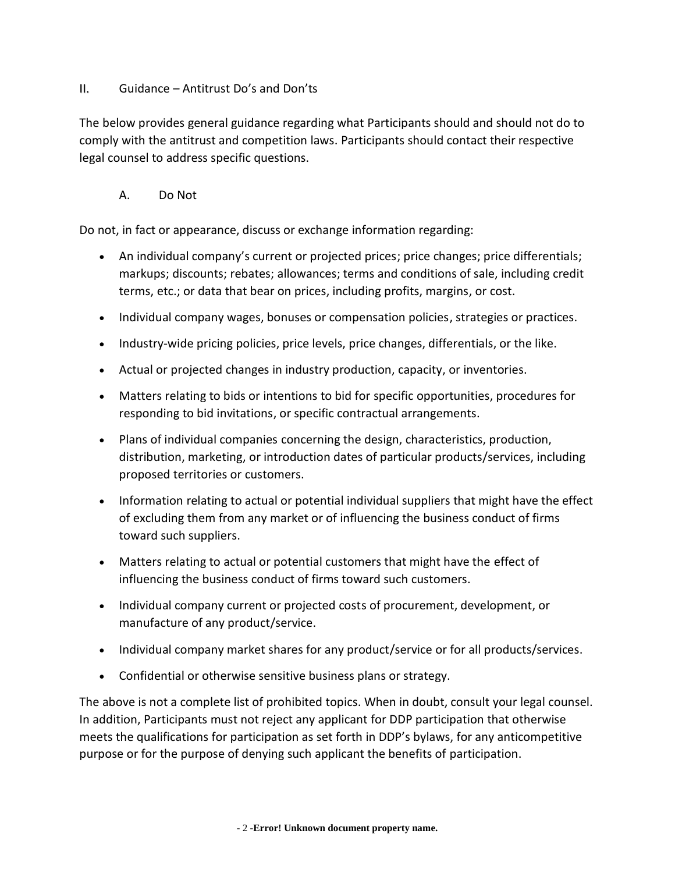## II. Guidance – Antitrust Do's and Don'ts

The below provides general guidance regarding what Participants should and should not do to comply with the antitrust and competition laws. Participants should contact their respective legal counsel to address specific questions.

A. Do Not

Do not, in fact or appearance, discuss or exchange information regarding:

- An individual company's current or projected prices; price changes; price differentials; markups; discounts; rebates; allowances; terms and conditions of sale, including credit terms, etc.; or data that bear on prices, including profits, margins, or cost.
- Individual company wages, bonuses or compensation policies, strategies or practices.
- Industry-wide pricing policies, price levels, price changes, differentials, or the like.
- Actual or projected changes in industry production, capacity, or inventories.
- Matters relating to bids or intentions to bid for specific opportunities, procedures for responding to bid invitations, or specific contractual arrangements.
- Plans of individual companies concerning the design, characteristics, production, distribution, marketing, or introduction dates of particular products/services, including proposed territories or customers.
- Information relating to actual or potential individual suppliers that might have the effect of excluding them from any market or of influencing the business conduct of firms toward such suppliers.
- Matters relating to actual or potential customers that might have the effect of influencing the business conduct of firms toward such customers.
- Individual company current or projected costs of procurement, development, or manufacture of any product/service.
- Individual company market shares for any product/service or for all products/services.
- Confidential or otherwise sensitive business plans or strategy.

The above is not a complete list of prohibited topics. When in doubt, consult your legal counsel. In addition, Participants must not reject any applicant for DDP participation that otherwise meets the qualifications for participation as set forth in DDP's bylaws, for any anticompetitive purpose or for the purpose of denying such applicant the benefits of participation.